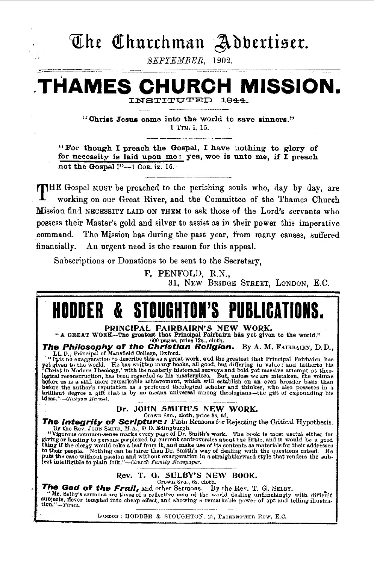# The Churchman Adbertiser.

SEPTEMBER, 1902.

# H MISSION. .THAMES

1844. INSTITUTED

"Christ Jesus came into the world to save sinners." 1 TIM. i. 15.

"For though I preach the Gospel, I have nothing to glory of for necessity is laid upon me: yea, woe is unto me, if I preach not the Gospel !"-1 Con. ix. 16.

THE Gospel MUST be preached to the perishing souls who, day by day, are working on our Great River, and the Committee of the Thames Church Mission find NECESSITY LAID ON THEM to ask those of the Lord's servants who possess their Master's gold and silver to assist as in their power this imperative command. The Mission has during the past year, from many causes, suffered financially. An urgent need is the reason for this appeal.

Subscriptions or Donations to be sent to the Secretary.

F. PENFOLD, R.N., 31. NEW BRIDGE STREET. LONDON. E.C.

#### PIIRI ICA1 K. STOUGHTON'S

PRINCIPAL FAIRBAIRN'S NEW WORK.

"A GREAT WORK-The greatest that Principal Fairbairn has yet given to the world."

"A GREAT WORK—The greatest that Principal Fairbairn has yet given to the world."<br>
The Philosophy of the Christian Religion. By A. M. FAIRBAIRN, D.D.,<br>
LL.D., Principal of Mansfield College, Oxford.<br>
"It is no exaggeration 1deas."-Glasgow Herald.

# Dr. JOHN SMITH'S NEW WORK.

Crown 8vo., cloth, price 3s, 6d.

**The Integrity of Scripture** of Man, price 3s, 6d.<br>
By the Rev. Journ SMITH, M.A., D.D. Edingburgh.<br>
By the Rev. Journ SMITH, M.A., D.D. Edingburgh.<br>
"Vigorous common-sense marks every page of Dr. Smith's work. The book i

# Rev. T. G. SELBY'S NEW BOOK.

Crown Svo., 6s. cloth.

The God of the Frail, and other Sermons. By the Rev. T. G. SELBY.

The Country of the Countries of a reflective man of the world dealing undinchingly with difficult<br>aubjects, never tempted into cheap effect, and showing a remarkable power of apt and telling illustra-<br>time of a perfect and tion.'  $\overline{T}$ *imes.* 

LONDON; HODDER & STOUGHTON, 27, PATERNOSTER ROW, E.C.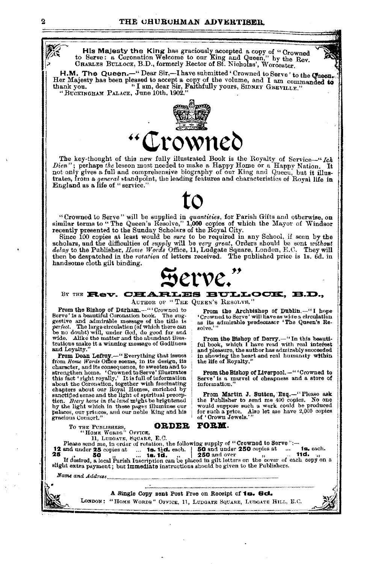His Majesty the King has graciously accepted a copy of "Crowned to Serve: a Coronation Welcome to our King and Queen," by the Rev. CHARLES BULLOCK, B.D., formerly Rector of St. Nicholas', Worcester.

H.M. The Queen.-"Dear Sir,-I have submitted 'Crowned to Serve' to the Cueen. Her Majesty has been pleased to accept a copy of the volume, and I am commanded to<br>thank you. "I am, dear Sir, Faithfully yours, SIDNEY GREVILLE." "BUCKINGHAM PALACE, June 10th, 1902."



The key-thought of this new fully illustrated Book is the Royalty of Service-"Ich Dien"; perhaps the lesson most needed to make a Happy Home or a Happy Nation. It not only gives a full and comprehensive biography of our King and Queeu, but it illustrates, from a general standpoint, the leading features and characteristics of Royal life in England as a life of "service."

"Crowned to Serve" will be supplied in *quantities*, for Parish Gifts and otherwise, on similar terms to "The Queen's Resolve," 1,000 copies of which the Mayor of Windsor

seemily presented to the Sunday Scholars of the Royal City.<br>
Since 100 copies at least would be sure to be required in any School, if seen by the<br>
Since 100 copies at least would be sure to be required in any School, if se handsome cloth gilt binding.

#### BY THE Rev. CHARLES BULLOCK, B.D.,

AUTHOR OF "THE QUEEN'S RESOLVE."

From the Bishop of Durham.-""Crowned to Serve' is a beautiful Coronation book. The suggestive and admirable message of the title is<br>perfect. The large circulation (of which there can<br>be no doubt) will, under God, do good far and wide. Alike the matter and the abundant illustrations make it a winning message of Godliness and Loyalty.

From Dean Lefroy,-" Everything that issues<br>from Home Words Office seems, in its design, its<br>character, and its consequence, to sweeten and to current since one of the control of the strengthen home. Crowned to Serve' illustrates<br>this fact 'right royally.' It is full of information<br>about the Coronation, together with fascinating<br>chapters about our Royal Homes, en sanctified sense and the light of spiritual preception. Byery home in the land might be brightened by the light which in these pages illumines our palaces, our princes, and our noble King and his gracious Consort."

From the Archbishop of Dublin.-"I hope<br>"Crowned to Serve" will have as wide a circulation as its admirable predecessor 'The Queen's Re-

From the Bishop of Derry.-"In this beauti-<br>ful book, which I have read with real interest an book with the author has a minimally succeeded<br>in showing the author has admirably succeeded<br>in showing the heart and real humanity within<br>the life of Royalty."

From the Bishop of Liverpool.-""Crowned to Serve' is a marvel of cheapness and a store of information.'

From Martin J. Sutton, Esq.-"Please ask<br>the Publisher to send me 400 copies. No one would suppose such a work could be produced for such a price. Also let me have 2,000 copies of 'Crown Jewels.'"

|                  | ORDER FORM.<br>TO THE PUBLISHERS.                                                  |
|------------------|------------------------------------------------------------------------------------|
|                  | "HOME WORDS" OFFICE.                                                               |
|                  | 11. LUDGATE, SQUARE, E.C.                                                          |
|                  | Please send me, in order of rotation, the following supply of "Crowned to Serve":- |
|                  |                                                                                    |
|                  |                                                                                    |
|                  |                                                                                    |
|                  |                                                                                    |
| Name and Address |                                                                                    |
|                  |                                                                                    |
|                  |                                                                                    |
|                  | A Single Copy sent Post Free on Receipt of 18. 6d.                                 |
|                  | LONDON: "HOME WORDS" OFFICE, 11, LUDGATE SQUARE, LUDGATE HILL, E.C.                |
|                  |                                                                                    |
|                  |                                                                                    |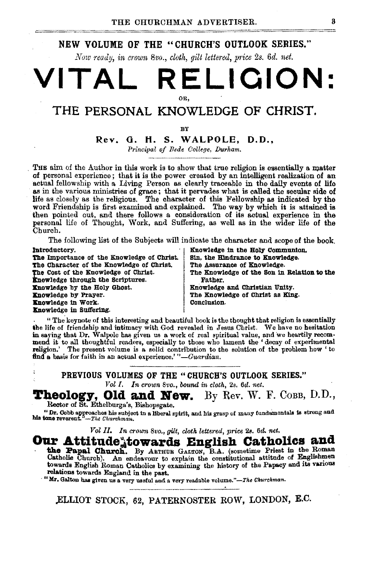# NEW VOLUME OF THE "CHURCH'S OUTLOOK SERIES."

*Now -ready, in ct·own 8·vo., cloth,* gilt *lette-red, price 2s. 6d. net.* 

# **VITAL RELIQION:**  OR,

# THE PERSONAL KNOWLEDGE OF CHRIST.

BY

# Rev. G. H. S. WALPOLE, D.D.,

*l'rincipal of Bede College, Durham.* 

THE aim of the Author in this work is to show that true religion is essentially a matter of personal experience; that it is the power created by an intelligent realization of an actual fellowship with a Living Person as clearly traceable in the daily events of life as in the various ministries of grace; that i life as closely as the religious. The character of this Fellowship as indicated by the word Friendship is first examined and explained. The way by which it is attained is then pointed out, and there follows a consideration of its actual experience in the personal life of Thought, Work, and Suffering, as well as in the wider life of the Church.

The following list of the Subjects will indicate the character and scope of the book. Introductory. The Communication of the Holy Communication is the Holy Communication.

The Importance of the Knowledge of Christ. Sin, the Hindrance to Knowledge. The Character of the KnoWledge of Christ. The Assurancs of Knowledge. 'fhe Cost of the Knowledge of Christ. The Knowledge of the Son in Relation to the **Knowledge through the Scriptures.** Father.<br> **Knowledge by the Holy Ghost.** Father. **Enowledge by the Holy Ghost.** (a) Showledge and Christian Unity.<br> **Enowledge by Prayer.** (The Knowledge of Christ as Kin Knowledge in Work. Knowledge in Suffering.

The Knowledge of Christ as King.<br>Conclusion.

" The keynote of this interesting and beautiful book is the thought that religion is essentially the life of friendship and intimacy with God revealed in Jesus Christ. We have no hesitation in saying that Dr. Walpole has given us a work of real spiritual value, and we heartily recom· mend it tc all thoughtful readers, especially to those who lament the ' decay of experimental religion.' The present volume is a solid contribution to the solution of the problem how ' to find a basis for faith in an actual experience.' "-Guardian.

PREVIOUS VOLUMES OF THE "CHURCH'S OUTLOOK SERIES."

*Vol I. In crown Bvo., boond in cloth,* 2s. 6¢. *net.* 

Theology, Old and New. By Rev. W. F. COBB, D.D., Rector of St. Ethelburga's, Bishopsgate.

" Dr. Gobb approaches his subject in a liberal spirit, and his grasp of many fundamentals is strong and his tone reverent." $-$ The Churchman.

*Vol II. In crown 8vo.,* gilt, *cloth lettered, price* 2s. *6d. net.* 

# Our Attitude<sup>s</sup> towards English Catholics and the Papal Church. By ARTHUR GALTON, B.A. (sometime Priest in the Roman

Catholie Church). An endeavour to explain the constitutional attitude of Englishmen towards English Roman Catholics by examining the history of the Papacy and its various relations towards England in the past.

"Mr. Galton has given us a very useful and a very readable volume."-The Churchman.

.ELLIOT STOCK, 62, PATERNOSTER ROW, LONDON, E.C.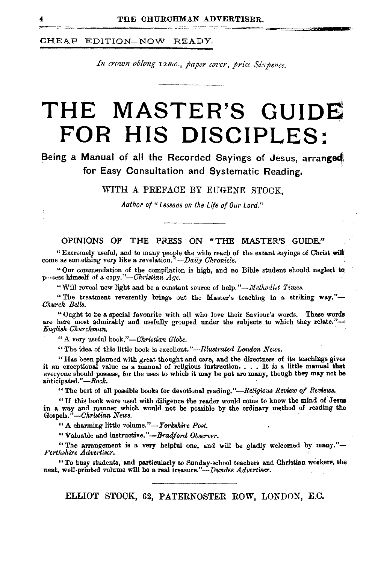# CHEAP EDITION-NOW READY.

In crown oblong 12mo., paper cover, price Sixpence.

# **THE MASTER'S GUIDE FOR HIS DISCIPLES:**

# Being a Manual of all the Recorded Sayings of Jesus, arranged for Easy Consultation and Systematic Reading.

WITH A PREFACE BY EUGENE STOCK,

Author of " Lessons on the Life of Our Lord."

### OPINIONS OF THE PRESS ON "THE MASTER'S GUIDE."

" Extremely useful, and to many people the wide reach of the extant sayings of Christ will come as something very like a revelation.''-Daily *Chronicle.* 

"Our commendation of the compilation is high, and no Bible student should neglect to pn·sess himself of a *copy."-Christian Age.* 

"Will reveal new light and be a constant source of help."— $Methodist$  *Times.* 

"The treatment reverently brings out the Master's teaching in a striking way."-*Church Bells.* .

"Ought to be a speeial favourite with all who love their Saviour's words. These words are here most admirably and usefully grouped under the subjects to which they relate.''-' *Engli8k Churchman.* 

<sup>"</sup> A very useful book."-Christian Globe.

"The idea of this little book is *excellent."-lllustrated London News.* 

"Has been planned with great thought and care, and the directness of its teachings gives it an exceptional value as a manual of religious instruction. . . . It is a little manual that everyone should possess, for the uses to which it may be put are many, though they may not be anticipated."-Rock.

'' The best of all possible books for devotional reading." *-Religious Review of Reviews.* 

"If this book were used with diligence the reader would come to know the mind of Jesus in a way and manner which would not be possible by the ordinary method of reading the Gospels."-Christian News.

 $"$  A charming little volume." $-$ *Yorkshire Post.* 

"Valuable and instructive.'' *-Brcuiford Observer.* 

"The arrangement is a very helpful one, and will be gladly welcomed by many."-Perthshire *Advertiser*.

"To busy students, and particularly to Sunday-school teachers and Christian workers, the neat, well-printed volume will be a real treasure."-Dundee *Advertiser*.

ELLIOT STOCK, 62, PATERNOSTER ROW, LONDON, E.C.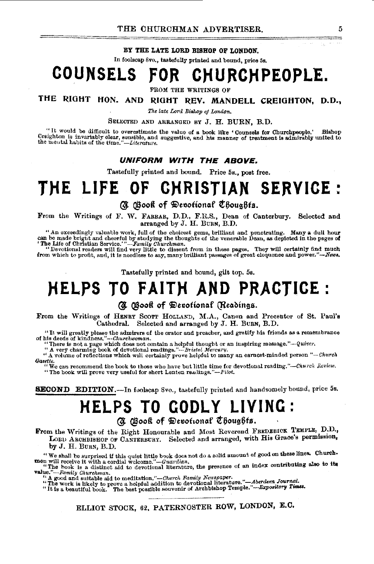#### BY THE LATE LORD BISHOP OF LONDON.

In foolscap 8vo., tastefully printed and bound, price 5s.

# **COUNSELS FOR CHURCHPEOPLE.**

FROM THE WRITINGS OF

# THE RIGHT HON. AND RIGHT REV. MANDELL CREIGHTON, D.D.,

The late Lord Bishop of London.

SELECTED AND ARRANGED BY J. H. BURN, B.D.<br>"It would be difficult to overestimate the value of a book like 'Counsels for Churchpeople." "It would be difficult to overestimate the value of a book like 'Counsels for Churchpeople.' Bishop Creighton is invariably olear, sensible, and he manner of treatment is admirably united to the neutal habits of the time."

#### **UNIFORM WITH THE ABOVE.**

Tastefully printed and bound. Price 5s., post free.

# **THE LIFE OF CHRISTIAN SERVICE** :

@ @ooft of 9it>et?otiono.f t6ou~6ts.

From the Writings of F. W. FARRAR, D.D., F.R.S., Dean of Canterbury. Selected and arranged by J. H. BuRN, B.D.

" An exceedingly valuable work, full of the choicest gems, brilliant and penetrating. Many a dull hour<br>can be made bright and cheerful by studying the thoughts of the venerable Dean, as depicted in the pages of<br>The Life o

"Devotional readers will find very little to dissent from in these pages. They will certainly find much from which to profit, and, it is needless to aay, many brilliant passages of great eloquence and power.''--News.

Tastefully printed and bound, gilt top, 5s.

# **HELPS TO FAITH AND PRACTICE:**

# @ @ooft of \$>tl)ofiono.f (Jleo.bing.a.

From the Writings of HENRY SCOTT HOLLAND, M.A., Canon and Precentor of St. Paul's Cathedral. Selected and arranged by J. H. BURN, B.D. Selected and arranged by J. H. BuRN, B.D.

"It will greatly please the admirers of the orator and preacher, and gratify his friends as a remembrance of his deeds of kindness."--*Churchwoman*.

"There is not a page which does not contain a helpful thought or an inspiring message."--Quiver.<br>" A very charming book of devotional readings."--Buistot Mercury.

" A volume of reflections which will certainly prove helpful to many an earnest-minded person "-Church *Gamte.* 

"We can recommend the book to those who have but little time for devotional reading."·-Ckurch *Re11iew.*  "The book will prove very useful for short Lenten readings."-Pilot.

**SECOND EDITION.**—In foolscap 8vo., tastefully printed and handsomely bound, price 5s.

# **HELPS TO GODLY LIVING:**

# @ @ooft of \$)el)ottonaf t6oug6ts.

From the Writings of the Right Honourable and Most Reverend FREDEBICK TEMPLE, D.D., LORU ARCHBISHOP OF CANTERBURY. Selected and arranged, with His Grace's permission, by J. H. BURN, B.D.

We shall be surprised if this quiet little book does not do a solid amount of good on these lines. Church-<br>men will receive it with a cordial welcome." --Guardian.

The hook is a distinct aid to devotional literature, the presence of an index contributing also to its<br>value.''-Family Churchman. <sup>2</sup> and suitable aid to devotional literature, the presence of an index contributing also to

"I gewas the soustane and w medicident of devotional literature."-Aberdeen Journal.<br>"The work is likely to prove a helpful addition to devotional literature."-Bepository Times.<br>"It is a beautiful book. The best possible so

ELLIOT STOCK, 62, PATERNOSTER ROW, LONDON, E.C.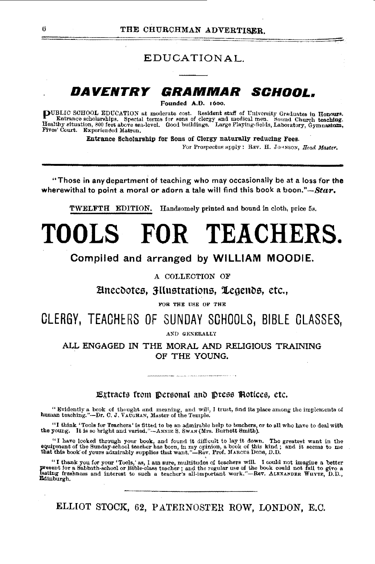EDUCATIONAL.

#### DAVENTRY GRAMMAR SCHOOL.

Founded A.D. 1600.

DUBLIC SCHOOL EDUCATION at moderate cost. Resident staff of University Graduates in Honours.<br>Entrance scholarships. Special terms for sons of clergy and medical men. Sound Church teaching.<br>Healthy situation, 800 feet above Fives' Court. Experienced Matron.

Entrance Scholarship for Sons of Clergy naturally reducing Fees.

For Prospectus apply: REV. H. JOHNSON, Head Master.

"Those in any department of teaching who may occasionally be at a loss for the wherewithal to point a moral or adorn a tale will find this book a boon." $\sim$ Star.

**TWELFTH EDITION.** Handsomely printed and bound in cloth, price 5s.

# TOOLS FOR TEACHERS.

# Compiled and arranged by WILLIAM MOODIE.

### A COLLECTION OF

Einecdotes, Hlustrations, Legends, etc.,

FOR THE USE OF THE

CLERGY, TEACHERS OF SUNDAY SCHOOLS, BIBLE CLASSES,

AND GENERALLY

ALL ENGAGED IN THE MORAL AND RELIGIOUS TRAINING OF THE YOUNG.

# Extracts from Dersonal and Press Rotices, etc.

"Evidently a book of thought and meaning, and will, I trust, find its place among the implements of human teaching."-Dr. C. J. VAUGHAN, Master of the Temple.

"I think 'Tools for Teachers' is fitted to be an admirable help to teachers, or to all who have to deal with the young. It is so bright and varied."—ANNIE S. SWAN (Mrs. Burnett Smith).

"I have looked through your book, and found it difficult to lay it down. The greatest want in the equipment of the Sunday-school teacher has been, in my opinion, a book of this kind; and it seems to me that this book of y

"I thank you for your 'Tools,' as, I am sure, multitudes of teachers will. I could not imagine a better present for a Sabbath-school or Bible-class teacher; and the regular use of the book could not fail to give a fasting Edinburgh.

ELLIOT STOCK, 62, PATERNOSTER ROW, LONDON, E.C.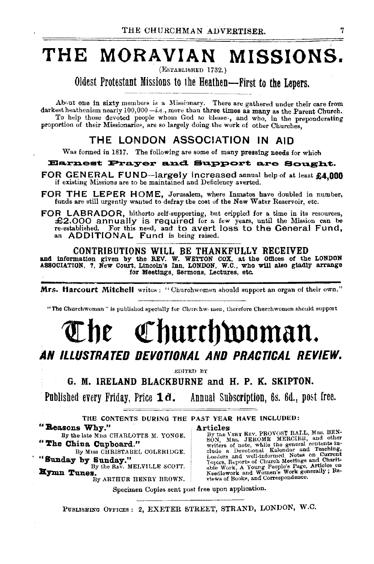# THE MORAVIAN MISSIONS.

(ESTABLISHED 1732.)

Oldest Protestant Missions to the Heathen-First to the Lepers.

About one in sixty members is a Missionary. There are gathered under their care from darkest heathenism nearly  $100,000-i.e.,$  more than three times as many as the Parent Church. To help those devoted people whom God so blesse-, and who, in the preponderating proportion of their Missionaries, are so largely doing the work of other Churches,

# THE LONDON ASSOCIATION IN AID

Was formed in 1817. The following are some of many pressing needs for which

#### Earnest Prayer and Support are Sought.

- FOR GENERAL FUND-largely increased annual help of at least £4.000 if existing Missions are to be maintained and Deficiency averted. '
- FOR THE LEPER HOME, Jerusalem, where Inmates have doubled in number, funds are still urgently wanted to defray the cost of the New Water Reservoir, etc.
- FOR LABRADOR, hitherto self-supporting, but crippled for a time in its resources, £2.000 annually is required for a few years, until the Mission can be re-established. For this ne.,d, and to avert loss to the General Fund, an ADDITIONAL Fund is being raised.

CONTRIBUTIONS WILL BE THANKFULLY RECEIVED<br>and information given by the REV. W. WETTON COX, at the Offices of the LONDON<br>ASSOCIATION, 7, New Court, Lincoln's Inn, LONDON, W.C., who will also gladly arrange for Meetings, Sermons, Lectures, etc.

Mrs. Harcourt Mitchell writes: "Churchwomen should support an organ of their own."

"The Churchwoman" is published specially for Churchw. men, therefore Churchwomen should support

# The Churchwoman. AN ILLUSTRATED DEVOTIONAL AND PRACTICAL REVIEW.

EDITED BY

G. M. IRELAND BLACKBURNE and H. P. K. SKIPTON.

Published every Friday, Price  $1d$ . Annual Subscription, 6s. 6d., post free.

THE CONTENTS DURING THE PAST YEAR HAVE INCLUDED: " Reasons Why."

By the late Miss CHARLOTTE M. YONGE. "The China Cupboard."

By Miss CHRISTABEL COLERIDGE.

"Sunday by Sunday."

Eymn Tunes. WELVILLE SCOTT. Hymn Tunes.

By ARTHUR HENRY BROWN.

Articles , By the VERY REV, PROVOST BALL, MRS. BEN-SON, MES. JEROME MERCIER, and other writers of note, while the general contents include a Devotional Kalendar and Teaching, Leaders and well-informed Notes on Current Topics, Reports of Church Meetings and Charit-<br>Able Work, A Young People's Page, Articles on News, Needlework and Women's space of News o

Specimen Copies sent post free upon application.

PUBLISHING OFFICES : 2, EXETER STREET, STRAND, LONDON, W.O.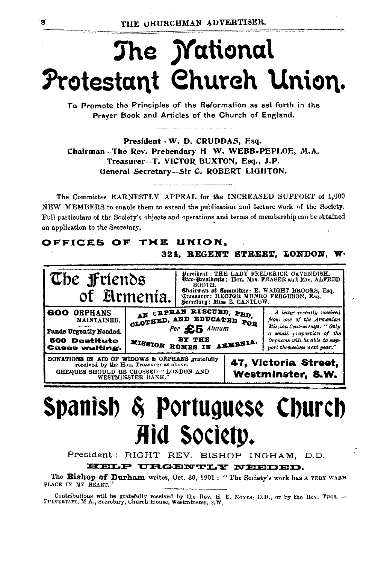# The *Mational* Protestant Church Union.

To Promote the Principles of the Reformation as set forth in the Prayer Book and Articles of the Church of England.

President-W. D. CRUDDAS, Esq. Chairman-The Rev. Prebendary H W. WEBB-PEPLOE, M.A. Treasurer-T. VICTOR BUXTON, Esq., J.P. General Secretary-Sir C. ROBERT LIGHTON.

The Committee EARNESTLY APPEAL for the INCREASED SUPPORT of 1,000 NEW MEMBERS to enable them to extend the publication and lecture work of the Society. Full particulars of the Society's objects and operations and terms of membership can be obtained on application to the Secretary,

# OFFICES OF THE UNION.

### 324. REGENT STREET, LONDON, W.



# Spanish & Portuguese Church Aid Society.

President: RIGHT REV. BISHOP INGHAM, D.D.

HELP URGENTLY NEEDED.

The Bishop of Durham writes, Oct. 30, 1901: "The Society's work has a VERY WARM PLACE IN MY HEART."

Contributions will be gratefully received by the Rev. H. E. Noves; D.D., or by the Rev. THOS. -PULVERTAFT, M A., Secretary, Church House, Westminster, S.W.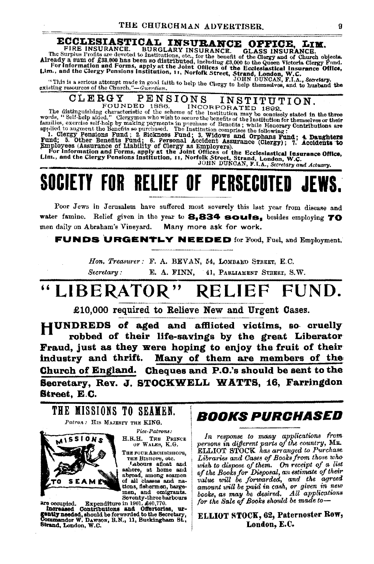# ECCLESIASTICAL INSURANCE OFFICE, LIM.

FIRE INSURANCE. BURGLARY INSURANCE. The Surplus Profits are devoted to Institutions, etc., for the benefit of the Clergy and of Church objects.<br>Already a sum of £33,000 has been so distributed, including £3,000 to the Quey

#### PENSIONS CLERGY

CLERCY PEINSIONS INNOINS INDEX SET IN STRAIN THE BEST THE MANUSE OF THE MEAN THE SET INCORPORATED 1892.<br>The distinguishing characteristic of the scheme of the Institution may be concisely stated in the three words, "Self-

# **SOCIETY FOR RELIEF OF PERSECUTED**

Poor Jews in Jerusalem have suffered most severely this last year from disease and water famine. Relief given in the year to 8,834 souls, besides employing 70 men daily on Abraham's Vineyard. Many more ask for work.

**FUNDS URGENTLY NEEDED** for Food, Fuel, and Employment.

Hon, Treasurer: F. A. BEVAN, 54. LOMBARD STREET, E.C.  $Secretary:$ E. A. FINN. 41, PARLIAMENT STREET, S.W.

#### **LIBERATOR** FUND. **RELIEF**

£10,000 required to Relieve New and Urgent Cases.

HUNDREDS of aged and afflicted victims, so cruelly robbed of their life-savings by the great Liberator Fraud, just as they were hoping to enjoy the fruit of their industry and thrift. Many of them are members of the Church of England. Cheques and P.O.'s should be sent to the Secretary, Rev. J. STOCKWELL WATTS, 16, Farringdon **Street, E.C.** 



stream and only the mean and only and only and only all the mean and only severally contribute in 1901,  $\pounds 40,770$ .<br> **Experimentally and only the stream of one of the stream of one of the gentive** stream of the stream of

# *BOOKS PURCHASED*

In response to many applications from persons in different parts of the country, MR.<br>ELLIOT STOCK has arranged to Purchase Libraries and Cases of Books from those who usiah to dispose of them. On receipt of a list<br>of the Books for Disposal, an estimate of their<br>value will be forwarded, and the agreed amount will be paid in cash, or given in new<br>books, as may be desired. All applications for the Sale of Books should be made to-

## ELLIOT STOCK, 62, Paternoster Row, London, E.C.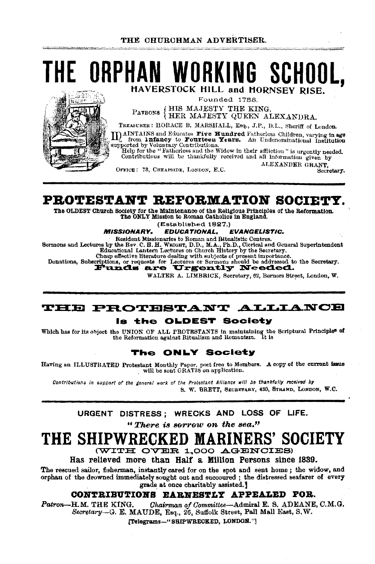# THE ORPHAN WORKING SCHOOL. HAVERSTOCK HILL and HORNSEY RISE.

Founded 1758.

PATRONS {HIS MAJESTY THE KING.<br>HER MAJESTY QUEEN ALEXANDRA.

TREASURER: HORACE B. MARSHALL, Esq., J.P., D.L., Sheriff of London. II) AINTAINS and Educates **Five Hundred** Fatherless Children, varying in age of from 1nfancy to **Fourteen Years.** An Undenominational Institution

supported by Voluntary Contributions. Help for the "Fatherless and the Widow in their affliction" is urgently needed.

Contributious will be thankfully received and all information given by ALEXANDER GRANT.

OFFICE: 73. CHEAPSIDE, LONDON, E.C.

Secretary.

# PROTESTANT REFORMATION SOCIETY.

The OLDEST Church Society for the Maintenance of the Religious Principles of the Reformation. The ONLY Mission to Roman Catholics in England.

(Established 1827.)

#### **MISSIONARY. EDUCATIONAL. EVANGELISTIC.**

Resident Missionaries to Roman and Bitualistic Centres.

Sermons and Lectures by the Rev. C. H. H. WRIGHT, D.D., M.A., Ph.D., Clerical and General Superintendent Educational Lantern Lectures on Church History by the Secretary. Cheap effective literature dealing with subjects of present importance.

Donations, Subscriptions, or requests for Lectures or Sermons should be addressed to the Secretary.

WALTER A. LIMBRICK, Secretary, 62, Berners Street, London, W.

# THE PROTESTANT ALLIANCE

#### is the OLDEST Society

Which has for its object the UNION OF ALL PROTESTANTS in maintaining the Scriptural Principle<sup>5</sup> of the Reformation against Ritualism and Romanism. It is

# The ONLY Society

Having an ILLUSTRATED Protestant Monthly Paper, poet free to Members.  $\Delta$  copy of the current issue will be sent GRATIS on application.

Contributions in support of the general work of the Protestant Alliance will be thankfully received by S. W. BRETT, SECRETARY, 430, STRAND, LONDON, W.C.

# URGENT DISTRESS: WRECKS AND LOSS OF LIFE. "There is sorrow on the sea."

### THE SHIPWRECKED **KINERS' SOCIETY**

(WITH OVER 1,000 AGENCIES)

Has relieved more than Half a Million Persons since 1839.

The rescued sailor, fisherman, instantly cared for on the spot and sent home; the widow, and orphan of the drowned immediately sought out and succoured; the distressed seafarer of every grade at once charitably assisted.]

# CONTRIBUTIONS EARNESTLY APPEALED FOR.

Chairman of Committee-Admiral E. S. ADEANE, C.M.G. Patron-H.M. THE KING. Secretary-G. E. MAUDE, Esq., 26, Suffolk Street, Pall Mall East, S.W.

[Telegrams-"SHIPWRECKED, LONDON."]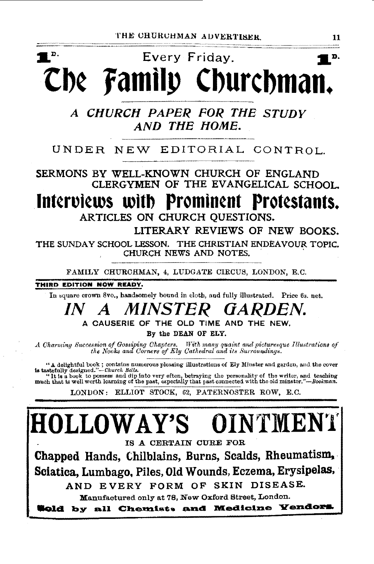# $\blacksquare$   $\blacksquare$ Every Friday. D. Che Family Churchman.

A CHURCH PAPER FOR THE STUDY AND THE HOME.

# UNDER NEW EDITORIAL CONTROL.

SERMONS BY WELL-KNOWN CHURCH OF ENGLAND CLERGYMEN OF THE EVANGELICAL SCHOOL.

Interviews with Prominent Protestants. ARTICLES ON CHURCH OUESTIONS.

LITERARY REVIEWS OF NEW BOOKS.

THE SUNDAY SCHOOL LESSON. THE CHRISTIAN ENDEAVOUR TOPIC. CHURCH NEWS AND NOTES.

FAMILY CHURCHMAN, 4, LUDGATE CIRCUS, LONDON, E.C.

THIRD EDITION NOW READY.

In square crown 8vo., handsomely bound in cloth, and fully illustrated. Price 6s, net.

#### MINSTER GARDEN.  $I N$  $\boldsymbol{A}$

A CAUSERIE OF THE OLD TIME AND THE NEW.

By the DEAN OF ELY.

A Charming Succession of Gossiping Chapters. With many quaint and picturesque Illustrations of the Nooks and Corners of Ely Cathedral and its Surroundings.

"A delightful book; contains numerous pleasing illustrations of Ely Minster and garden, and the cover is tasted illy designed."—Church Bells.<br>"It is a book to possess and dip into very often, betraying the personality of the writer, and teaching<br>much that is well worth learning of the past, especially that past connected w

LONDON: ELLIOT STOCK, 62, PATERNOSTER ROW, E.C.